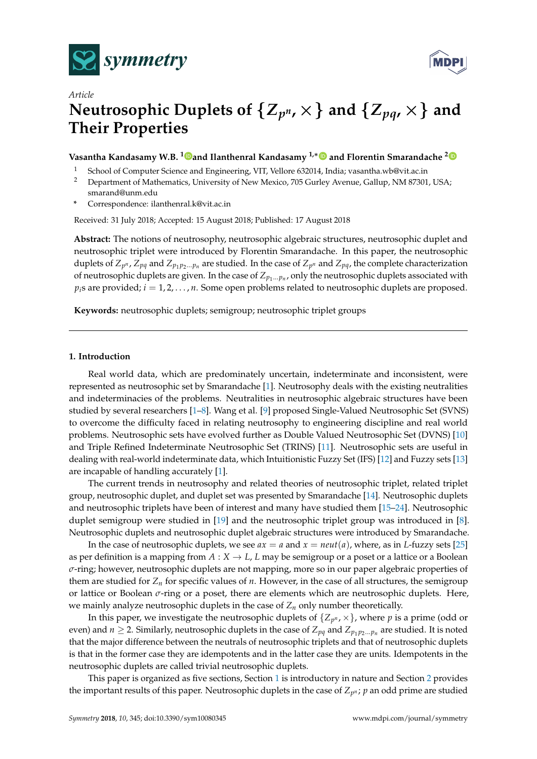



# *Article* Neutrosophic Duplets of  $\{Z_{p^n},\times\}$  and  $\{Z_{pq},\times\}$  and **Their Properties**

# **Vasantha Kandasamy W.B. [1](https://orcid.org/0000-0001-9832-1475) and Ilanthenral Kandasamy 1,**<sup>∗</sup> **and Florentin Smarandache [2](https://orcid.org/0000-0002-5560-5926)**

- <sup>1</sup> School of Computer Science and Engineering, VIT, Vellore 632014, India; vasantha.wb@vit.ac.in
- <sup>2</sup> Department of Mathematics, University of New Mexico, 705 Gurley Avenue, Gallup, NM 87301, USA; smarand@unm.edu
- **\*** Correspondence: ilanthenral.k@vit.ac.in

Received: 31 July 2018; Accepted: 15 August 2018; Published: 17 August 2018

**Abstract:** The notions of neutrosophy, neutrosophic algebraic structures, neutrosophic duplet and neutrosophic triplet were introduced by Florentin Smarandache. In this paper, the neutrosophic duplets of  $Z_{p^n}$  ,  $Z_{pq}$  and  $Z_{p_1p_2...p_n}$  are studied. In the case of  $Z_{p^n}$  and  $Z_{pq}$ , the complete characterization of neutrosophic duplets are given. In the case of  $Z_{p_1...p_n}$ , only the neutrosophic duplets associated with  $p_i$ <sup>s</sup> are provided;  $i = 1, 2, \ldots, n$ . Some open problems related to neutrosophic duplets are proposed.

**Keywords:** neutrosophic duplets; semigroup; neutrosophic triplet groups

#### <span id="page-0-0"></span>**1. Introduction**

Real world data, which are predominately uncertain, indeterminate and inconsistent, were represented as neutrosophic set by Smarandache [\[1\]](#page-6-0). Neutrosophy deals with the existing neutralities and indeterminacies of the problems. Neutralities in neutrosophic algebraic structures have been studied by several researchers [\[1](#page-6-0)[–8\]](#page-6-1). Wang et al. [\[9\]](#page-6-2) proposed Single-Valued Neutrosophic Set (SVNS) to overcome the difficulty faced in relating neutrosophy to engineering discipline and real world problems. Neutrosophic sets have evolved further as Double Valued Neutrosophic Set (DVNS) [\[10\]](#page-6-3) and Triple Refined Indeterminate Neutrosophic Set (TRINS) [\[11\]](#page-6-4). Neutrosophic sets are useful in dealing with real-world indeterminate data, which Intuitionistic Fuzzy Set (IFS) [\[12\]](#page-6-5) and Fuzzy sets [\[13\]](#page-6-6) are incapable of handling accurately [\[1\]](#page-6-0).

The current trends in neutrosophy and related theories of neutrosophic triplet, related triplet group, neutrosophic duplet, and duplet set was presented by Smarandache [\[14\]](#page-6-7). Neutrosophic duplets and neutrosophic triplets have been of interest and many have studied them [\[15](#page-6-8)[–24\]](#page-7-0). Neutrosophic duplet semigroup were studied in [\[19\]](#page-7-1) and the neutrosophic triplet group was introduced in [\[8\]](#page-6-1). Neutrosophic duplets and neutrosophic duplet algebraic structures were introduced by Smarandache.

In the case of neutrosophic duplets, we see  $ax = a$  and  $x = neutr(a)$ , where, as in *L*-fuzzy sets [\[25\]](#page-7-2) as per definition is a mapping from  $A: X \to L$ , *L* may be semigroup or a poset or a lattice or a Boolean *σ*-ring; however, neutrosophic duplets are not mapping, more so in our paper algebraic properties of them are studied for  $Z_n$  for specific values of *n*. However, in the case of all structures, the semigroup or lattice or Boolean *σ*-ring or a poset, there are elements which are neutrosophic duplets. Here, we mainly analyze neutrosophic duplets in the case of  $Z_n$  only number theoretically.

In this paper, we investigate the neutrosophic duplets of  $\{Z_{p^n},\times\}$ , where  $p$  is a prime (odd or even) and  $n \ge 2$ . Similarly, neutrosophic duplets in the case of  $Z_{pq}$  and  $Z_{p_1p_2...p_n}$  are studied. It is noted that the major difference between the neutrals of neutrosophic triplets and that of neutrosophic duplets is that in the former case they are idempotents and in the latter case they are units. Idempotents in the neutrosophic duplets are called trivial neutrosophic duplets.

This paper is organized as five sections, Section [1](#page-0-0) is introductory in nature and Section [2](#page-1-0) provides the important results of this paper. Neutrosophic duplets in the case of  $Z_{p^n}$ ;  $p$  an odd prime are studied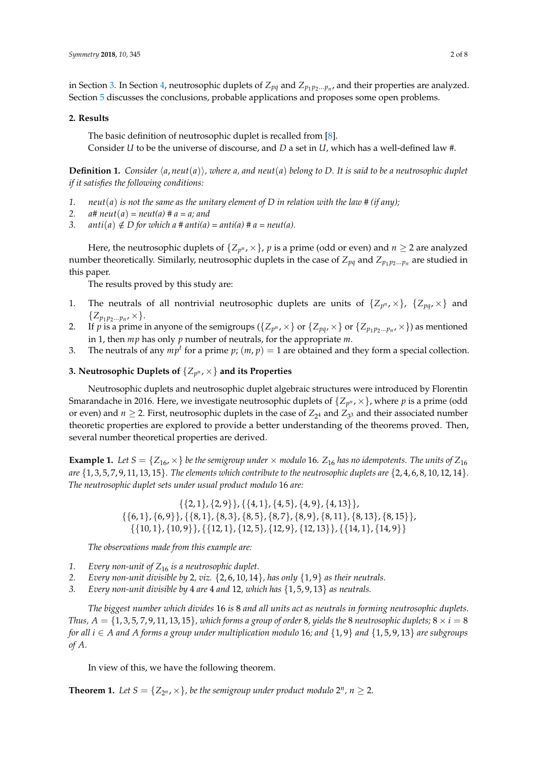in Section [3.](#page-1-1) In Section [4,](#page-3-0) neutrosophic duplets of  $Z_{pq}$  and  $Z_{p_1p_2...p_n}$ , and their properties are analyzed. Section [5](#page-5-0) discusses the conclusions, probable applications and proposes some open problems.

#### <span id="page-1-0"></span>**2. Results**

The basic definition of neutrosophic duplet is recalled from [\[8\]](#page-6-1). Consider *U* to be the universe of discourse, and *D* a set in *U*, which has a well-defined law #.

**Definition 1.** Consider  $\langle a, neut(a) \rangle$ , where  $a$ , and neut $(a)$  belong to D. It is said to be a neutrosophic duplet *if it satisfies the following conditions:*

- 1.  $neut(a)$  *is not the same as the unitary element of D in relation with the law* # *(if any)*;
- 2.  $a \# \text{neut}(a) = \text{neut}(a) \# a = a$ ; and
- 3.  $arti(a) \notin D$  for which a #  $anti(a) = anti(a)$  #  $a = neut(a)$ .

Here, the neutrosophic duplets of  $\{Z_{p^n},\times\}$ ,  $p$  is a prime (odd or even) and  $n\geq 2$  are analyzed number theoretically. Similarly, neutrosophic duplets in the case of  $Z_{pq}$  and  $Z_{p_1p_2...p_n}$  are studied in this paper.

The results proved by this study are:

- 1. The neutrals of all nontrivial neutrosophic duplets are units of  $\{Z_{p^n},\times\}$ ,  $\{Z_{pq},\times\}$  and  $\{Z_{p_1 p_2...p_n}, \times\}.$
- 2. If *p* is a prime in anyone of the semigroups ( $\{Z_{p^n}, \times\}$  or  $\{Z_{pq}, \times\}$  or  $\{Z_{p_1p_2\ldots p_n}, \times\}$ ) as mentioned in 1, then *mp* has only *p* number of neutrals, for the appropriate *m*.
- 3. The neutrals of any  $mp<sup>t</sup>$  for a prime  $p$ ;  $(m, p) = 1$  are obtained and they form a special collection.

# <span id="page-1-1"></span>**3. Neutrosophic Duplets of** {*Z<sup>p</sup> <sup>n</sup>* , ×} **and its Properties**

Neutrosophic duplets and neutrosophic duplet algebraic structures were introduced by Florentin Smarandache in 2016. Here, we investigate neutrosophic duplets of  $\{Z_{p^n},\times\}$ , where  $p$  is a prime (odd or even) and  $n \ge 2$ . First, neutrosophic duplets in the case of  $Z_{2^4}$  and  $Z_{3^3}$  and their associated number theoretic properties are explored to provide a better understanding of the theorems proved. Then, several number theoretical properties are derived.

**Example 1.** Let  $S = \{Z_{16}, \times\}$  be the semigroup under  $\times$  modulo 16.  $Z_{16}$  has no idempotents. The units of  $Z_{16}$ *are* {1, 3, 5, 7, 9, 11, 13, 15}*. The elements which contribute to the neutrosophic duplets are* {2, 4, 6, 8, 10, 12, 14}*. The neutrosophic duplet sets under usual product modulo* 16 *are:*

> $\{\{2, 1\}, \{2, 9\}\}, \{\{4, 1\}, \{4, 5\}, \{4, 9\}, \{4, 13\}\},\$  $\{\{6, 1\}, \{6, 9\}\}, \{\{8, 1\}, \{8, 3\}, \{8, 5\}, \{8, 7\}, \{8, 9\}, \{8, 11\}, \{8, 13\}, \{8, 15\}\},$  $\{ \{10, 1\}, \{10, 9\} \}, \{ \{12, 1\}, \{12, 5\}, \{12, 9\}, \{12, 13\} \}, \{ \{14, 1\}, \{14, 9\} \}$

*The observations made from this example are:*

- *1. Every non-unit of Z*<sup>16</sup> *is a neutrosophic duplet.*
- *2. Every non-unit divisible by* 2*, viz.* {2, 6, 10, 14}*, has only* {1, 9} *as their neutrals.*
- *3. Every non-unit divisible by* 4 *are* 4 *and* 12*, which has* {1, 5, 9, 13} *as neutrals.*

*The biggest number which divides* 16 *is* 8 *and all units act as neutrals in forming neutrosophic duplets. Thus,*  $A = \{1, 3, 5, 7, 9, 11, 13, 15\}$ *, which forms a group of order* 8*, yields the* 8 *neutrosophic duplets*;  $8 \times i = 8$ *for all i* ∈ *A and A forms a group under multiplication modulo* 16*; and* {1, 9} *and* {1, 5, 9, 13} *are subgroups of A.*

In view of this, we have the following theorem.

**Theorem 1.** Let  $S = \{Z_{2^n}, \times\}$ , be the semigroup under product modulo  $2^n$ ,  $n \geq 2$ .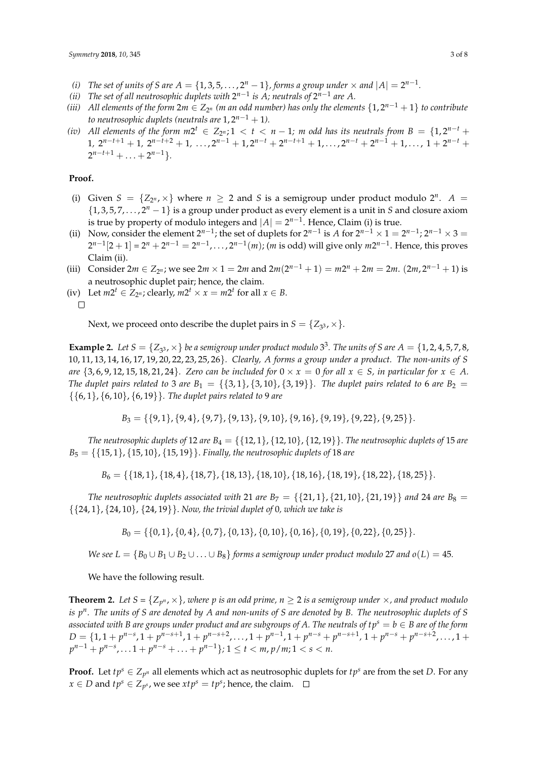- *(i) The set of units of S are*  $A = \{1, 3, 5, \ldots, 2^n 1\}$ *, forms a group under*  $\times$  and  $|A| = 2^{n-1}$ .
- (*ii*) The set of all neutrosophic duplets with  $2^{n-1}$  is A; neutrals of  $2^{n-1}$  are A.
- *(iii)* All elements of the form  $2m \in Z_{2^n}$  (m an odd number) has only the elements  $\{1,2^{n-1}+1\}$  to contribute *to neutrosophic duplets (neutrals are*  $1, 2^{n-1} + 1$ ).
- (*iv*) All elements of the form  $m2^t \in Z_{2^n}$ ; 1 < t < n − 1; m odd has its neutrals from B = {1,2<sup>n-t</sup> + 1,  $2^{n-t+1} + 1$ ,  $2^{n-t+2} + 1$ ,  $\dots$ ,  $2^{n-1} + 1$ ,  $2^{n-t} + 2^{n-t+1} + 1$ ,  $\dots$ ,  $2^{n-t} + 2^{n-1} + 1$ ,  $\dots$ ,  $1 + 2^{n-t} +$  $2^{n-t+1} + \ldots + 2^{n-1}$ .

#### **Proof.**

- (i) Given  $S = \{Z_{2^n}, \times\}$  where  $n \geq 2$  and *S* is a semigroup under product modulo  $2^n$ .  $A =$  $\{1, 3, 5, 7, \ldots, 2^n - 1\}$  is a group under product as every element is a unit in *S* and closure axiom is true by property of modulo integers and  $|A| = 2^{n-1}$ . Hence, Claim (i) is true.
- (ii) Now, consider the element  $2^{n-1}$ ; the set of duplets for  $2^{n-1}$  is *A* for  $2^{n-1} \times 1 = 2^{n-1}$ ;  $2^{n-1} \times 3 = 2^{n-1}$  $2^{n-1}[2+1] = 2^n + 2^{n-1} = 2^{n-1}, \ldots, 2^{n-1}(m)$ ; (*m* is odd) will give only  $m2^{n-1}$ . Hence, this proves Claim (ii).
- (iii) Consider  $2m \in Z_{2^n}$ ; we see  $2m \times 1 = 2m$  and  $2m(2^{n-1} + 1) = m2^n + 2m = 2m$ .  $(2m, 2^{n-1} + 1)$  is a neutrosophic duplet pair; hence, the claim.
- (iv) Let  $m2^t \in Z_{2^n}$ ; clearly,  $m2^t \times x = m2^t$  for all  $x \in B$ .

 $\Box$ 

Next, we proceed onto describe the duplet pairs in  $S = \{Z_{3^3}, \times\}.$ 

**Example 2.** Let  $S = \{Z_{3^3}, \times\}$  be a semigroup under product modulo  $3^3$ . The units of  $S$  are  $A = \{1, 2, 4, 5, 7, 8,$ 10, 11, 13, 14, 16, 17, 19, 20, 22, 23, 25, 26}*. Clearly, A forms a group under a product. The non-units of S are*  $\{3, 6, 9, 12, 15, 18, 21, 24\}$ *. Zero can be included for*  $0 \times x = 0$  *for all*  $x \in S$ *, in particular for*  $x \in A$ *. The duplet pairs related to* 3 *are*  $B_1 = \{\{3, 1\}, \{3, 10\}, \{3, 19\}\}\$ . The duplet pairs related to 6 *are*  $B_2 =$ {{6, 1}, {6, 10}, {6, 19}}*. The duplet pairs related to* 9 *are*

$$
B_3 = \{\{9,1\}, \{9,4\}, \{9,7\}, \{9,13\}, \{9,10\}, \{9,16\}, \{9,19\}, \{9,22\}, \{9,25\}\}.
$$

*The neutrosophic duplets of* 12 *are*  $B_4 = \{ \{12, 1\}, \{12, 10\}, \{12, 19\} \}$ . *The neutrosophic duplets of* 15 *are B*<sup>5</sup> = {{15, 1}, {15, 10}, {15, 19}}. *Finally, the neutrosophic duplets of* 18 *are*

$$
B_6 = \{ \{18, 1\}, \{18, 4\}, \{18, 7\}, \{18, 13\}, \{18, 10\}, \{18, 16\}, \{18, 19\}, \{18, 22\}, \{18, 25\} \}.
$$

*The neutrosophic duplets associated with* 21 *are*  $B_7 = \{21, 1\}$ ,  $\{21, 10\}$ ,  $\{21, 19\}$  *and* 24 *are*  $B_8 =$ {{24, 1}, {24, 10}, {24, 19}}. *Now, the trivial duplet of* 0*, which we take is*

 $B_0 = \{\{0, 1\}, \{0, 4\}, \{0, 7\}, \{0, 13\}, \{0, 10\}, \{0, 16\}, \{0, 19\}, \{0, 22\}, \{0, 25\}\}.$ 

*We see L* = { $B_0 \cup B_1 \cup B_2 \cup ... \cup B_8$ } *forms a semigroup under product modulo* 27 *and*  $o(L) = 45$ *.* 

We have the following result.

**Theorem 2.** Let  $S = \{Z_{p^n}, \times\}$ , where  $p$  is an odd prime,  $n \geq 2$  is a semigroup under  $\times$ , and product modulo *is p n . The units of S are denoted by A and non-units of S are denoted by B. The neutrosophic duplets of S associated with B are groups under product and are subgroups of A. The neutrals of*  $tp^s = b \in B$  *are of the form*  $D = \{1, 1 + p^{n-s}, 1 + p^{n-s+1}, 1 + p^{n-s+2}, \ldots, 1 + p^{n-1}, 1 + p^{n-s} + p^{n-s+1}, 1 + p^{n-s} + p^{n-s+2}, \ldots, 1 + p^{n-s+2} + p^{n-s+1}\}$  $p^{n-1} + p^{n-s}, \ldots 1 + p^{n-s} + \ldots + p^{n-1}$ ;  $1 \le t < m, p/m; 1 < s < n$ .

**Proof.** Let  $tp^s \in Z_{p^n}$  all elements which act as neutrosophic duplets for  $tp^s$  are from the set *D*. For any  $x \in D$  and  $tp^s \in Z_{p^s}$ , we see  $xtp^s = tp^s$ ; hence, the claim.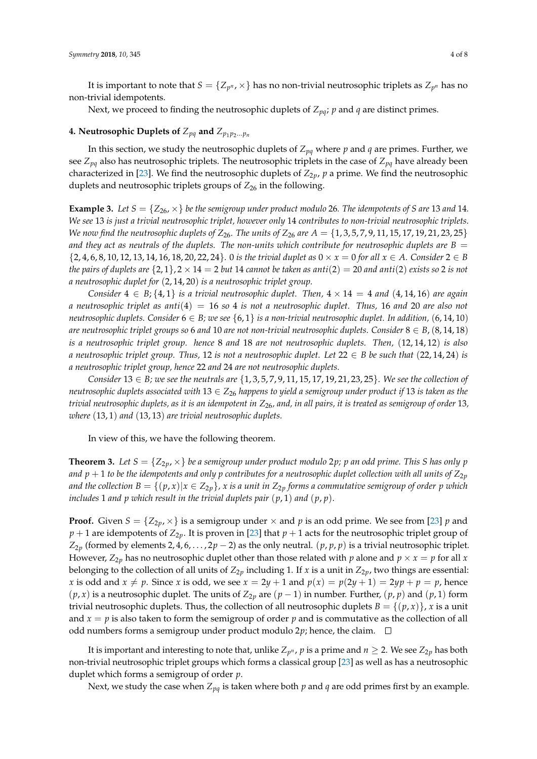It is important to note that  $S = \{Z_{p^n},\times\}$  has no non-trivial neutrosophic triplets as  $Z_{p^n}$  has no non-trivial idempotents.

Next, we proceed to finding the neutrosophic duplets of *Zpq*; *p* and *q* are distinct primes.

# <span id="page-3-0"></span>**4. Neutrosophic Duplets of**  $Z_{pq}$  and  $Z_{p_1p_2...p_n}$

In this section, we study the neutrosophic duplets of *Zpq* where *p* and *q* are primes. Further, we see *Zpq* also has neutrosophic triplets. The neutrosophic triplets in the case of *Zpq* have already been characterized in [\[23\]](#page-7-3). We find the neutrosophic duplets of  $Z_{2p}$ ,  $p$  a prime. We find the neutrosophic duplets and neutrosophic triplets groups of  $Z_{26}$  in the following.

**Example 3.** Let  $S = \{Z_{26}, \times\}$  be the semigroup under product modulo 26. The idempotents of *S* are 13 and 14*. We see* 13 *is just a trivial neutrosophic triplet, however only* 14 *contributes to non-trivial neutrosophic triplets. We now find the neutrosophic duplets of*  $Z_{26}$ *. The units of*  $Z_{26}$  *are*  $A = \{1, 3, 5, 7, 9, 11, 15, 17, 19, 21, 23, 25\}$ and they act as neutrals of the duplets. The non-units which contribute for neutrosophic duplets are  $B =$ {2, 4, 6, 8, 10, 12, 13, 14, 16, 18, 20, 22, 24}*.* 0 *is the trivial duplet as* 0 × *x* = 0 *for all x* ∈ *A. Consider* 2 ∈ *B the pairs of duplets are*  $\{2, 1\}$ ,  $2 \times 14 = 2$  *but* 14 *cannot be taken as anti*(2) = 20 *and anti*(2) *exists so* 2 *is not a neutrosophic duplet for* (2, 14, 20) *is a neutrosophic triplet group.*

*Consider*  $4 \in B$ ;  $\{4, 1\}$  *is a trivial neutrosophic duplet. Then,*  $4 \times 14 = 4$  *and*  $(4, 14, 16)$  *are again a neutrosophic triplet as anti*(4) = 16 *so* 4 *is not a neutrosophic duplet. Thus,* 16 *and* 20 *are also not neutrosophic duplets. Consider* 6 ∈ *B; we see* {6, 1} *is a non-trivial neutrosophic duplet. In addition,* (6, 14, 10) *are neutrosophic triplet groups so 6 and 10 are not non-trivial neutrosophic duplets. Consider*  $8 \in B$ ,  $(8, 14, 18)$ *is a neutrosophic triplet group. hence* 8 *and* 18 *are not neutrosophic duplets. Then,* (12, 14, 12) *is also a neutrosophic triplet group. Thus,* 12 *is not a neutrosophic duplet. Let*  $22 \in B$  *be such that* (22, 14, 24) *is a neutrosophic triplet group, hence* 22 *and* 24 *are not neutrosophic duplets.*

*Consider* 13 ∈ *B; we see the neutrals are* {1, 3, 5, 7, 9, 11, 15, 17, 19, 21, 23, 25}*. We see the collection of neutrosophic duplets associated with* 13 ∈ *Z*<sup>26</sup> *happens to yield a semigroup under product if* 13 *is taken as the trivial neutrosophic duplets, as it is an idempotent in Z*26*, and, in all pairs, it is treated as semigroup of order* 13*, where* (13, 1) *and* (13, 13) *are trivial neutrosophic duplets.*

In view of this, we have the following theorem.

**Theorem 3.** Let  $S = \{Z_{2p} \times \}$  be a semigroup under product modulo 2p; p an odd prime. This S has only p and  $p + 1$  to be the idempotents and only p contributes for a neutrosophic duplet collection with all units of  $Z_{2p}$ *and the collection*  $B = \{(p, x) | x \in Z_{2p}\}$ , x is a unit in  $Z_{2p}$  forms a commutative semigroup of order p which *includes* 1 *and p which result in the trivial duplets pair* (*p*, 1) *and* (*p*, *p*).

**Proof.** Given  $S = \{Z_{2p}, \times\}$  is a semigroup under  $\times$  and  $p$  is an odd prime. We see from [\[23\]](#page-7-3)  $p$  and  $p + 1$  are idempotents of  $Z_{2p}$ . It is proven in [\[23\]](#page-7-3) that  $p + 1$  acts for the neutrosophic triplet group of *Z*<sub>2</sub>*p* (formed by elements 2, 4, 6, . . . , 2 $p - 2$ ) as the only neutral. (*p*, *p*, *p*) is a trivial neutrosophic triplet. However,  $Z_{2p}$  has no neutrosophic duplet other than those related with *p* alone and  $p \times x = p$  for all *x* belonging to the collection of all units of  $Z_{2p}$  including 1. If *x* is a unit in  $Z_{2p}$ , two things are essential: *x* is odd and  $x \neq p$ . Since *x* is odd, we see  $x = 2y + 1$  and  $p(x) = p(2y + 1) = 2yp + p = p$ , hence  $(p, x)$  is a neutrosophic duplet. The units of  $Z_{2p}$  are  $(p - 1)$  in number. Further,  $(p, p)$  and  $(p, 1)$  form trivial neutrosophic duplets. Thus, the collection of all neutrosophic duplets  $B = \{(p, x)\}\)$ , *x* is a unit and  $x = p$  is also taken to form the semigroup of order  $p$  and is commutative as the collection of all odd numbers forms a semigroup under product modulo 2*p*; hence, the claim.  $\Box$ 

It is important and interesting to note that, unlike  $Z_{p^n}$ ,  $p$  is a prime and  $n \geq 2$ . We see  $Z_{2p}$  has both non-trivial neutrosophic triplet groups which forms a classical group [\[23\]](#page-7-3) as well as has a neutrosophic duplet which forms a semigroup of order *p*.

Next, we study the case when  $Z_{pq}$  is taken where both  $p$  and  $q$  are odd primes first by an example.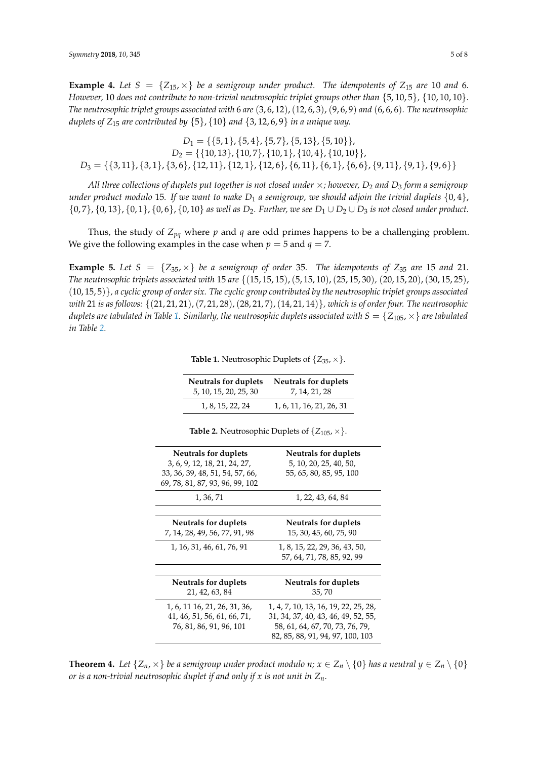**Example 4.** Let  $S = \{Z_{15}, \times\}$  be a semigroup under product. The idempotents of  $Z_{15}$  are 10 and 6. *However,* 10 *does not contribute to non-trivial neutrosophic triplet groups other than* {5, 10, 5}*,* {10, 10, 10}*. The neutrosophic triplet groups associated with* 6 *are* (3, 6, 12),(12, 6, 3), (9, 6, 9) *and* (6, 6, 6)*. The neutrosophic duplets of*  $Z_{15}$  *are contributed by*  $\{5\}$ ,  $\{10\}$  *and*  $\{3, 12, 6, 9\}$  *in a unique way.* 

 $D_1 = \{\{5, 1\}, \{5, 4\}, \{5, 7\}, \{5, 13\}, \{5, 10\}\},\$  $D_2 = \{\{10, 13\}, \{10, 7\}, \{10, 1\}, \{10, 4\}, \{10, 10\}\},\$  $D_3 = \{\{3, 11\}, \{3, 1\}, \{3, 6\}, \{12, 11\}, \{12, 1\}, \{12, 6\}, \{6, 11\}, \{6, 6\}, \{9, 11\}, \{9, 1\}, \{9, 6\}\}\$ 

*All three collections of duplets put together is not closed under* ×*; however, D*<sup>2</sup> *and D*<sup>3</sup> *form a semigroup under product modulo* 15*. If we want to make*  $D_1$  *a semigroup, we should adjoin the trivial duplets*  $\{0,4\}$ , {0, 7}, {0, 13}, {0, 1}, {0, 6}, {0, 10} *as well as D*2*. Further, we see D*<sup>1</sup> ∪ *D*<sup>2</sup> ∪ *D*<sup>3</sup> *is not closed under product.*

Thus, the study of *Zpq* where *p* and *q* are odd primes happens to be a challenging problem. We give the following examples in the case when  $p = 5$  and  $q = 7$ .

<span id="page-4-0"></span>**Example 5.** Let  $S = \{Z_{35}, \times\}$  be a semigroup of order 35. The idempotents of  $Z_{35}$  are 15 and 21. *The neutrosophic triplets associated with* 15 *are* {(15, 15, 15),(5, 15, 10),(25, 15, 30)*,* (20, 15, 20),(30, 15, 25), (10, 15, 5)}*, a cyclic group of order six. The cyclic group contributed by the neutrosophic triplet groups associated with* 21 *is as follows:* {(21, 21, 21),(7, 21, 28),(28, 21, 7),(14, 21, 14)}*, which is of order four. The neutrosophic duplets are tabulated in Table* [1.](#page-4-0) Similarly, the neutrosophic duplets associated with  $S = \{Z_{105}, \times\}$  are tabulated *in Table [2.](#page-4-1)*

| Neutrals for duplets  | <b>Neutrals for duplets</b> |
|-----------------------|-----------------------------|
| 5, 10, 15, 20, 25, 30 | 7, 14, 21, 28               |
| 1, 8, 15, 22, 24      | 1, 6, 11, 16, 21, 26, 31    |

**Table 1.** Neutrosophic Duplets of  $\{Z_{35}, \times\}$ .

**Table 2.** Neutrosophic Duplets of  $\{Z_{105}, \times\}$ .

<span id="page-4-1"></span>

| Neutrals for duplets<br>3, 6, 9, 12, 18, 21, 24, 27,<br>33, 36, 39, 48, 51, 54, 57, 66,<br>69, 78, 81, 87, 93, 96, 99, 102 | Neutrals for duplets<br>5, 10, 20, 25, 40, 50,<br>55, 65, 80, 85, 95, 100                                                                          |
|----------------------------------------------------------------------------------------------------------------------------|----------------------------------------------------------------------------------------------------------------------------------------------------|
| 1, 36, 71                                                                                                                  | 1, 22, 43, 64, 84                                                                                                                                  |
|                                                                                                                            |                                                                                                                                                    |
| Neutrals for duplets<br>7, 14, 28, 49, 56, 77, 91, 98                                                                      | Neutrals for duplets<br>15, 30, 45, 60, 75, 90                                                                                                     |
| 1, 16, 31, 46, 61, 76, 91                                                                                                  | 1, 8, 15, 22, 29, 36, 43, 50,<br>57, 64, 71, 78, 85, 92, 99                                                                                        |
|                                                                                                                            |                                                                                                                                                    |
| Neutrals for duplets<br>21, 42, 63, 84                                                                                     | Neutrals for duplets<br>35,70                                                                                                                      |
| 1, 6, 11 16, 21, 26, 31, 36,<br>41, 46, 51, 56, 61, 66, 71,<br>76, 81, 86, 91, 96, 101                                     | 1, 4, 7, 10, 13, 16, 19, 22, 25, 28,<br>31, 34, 37, 40, 43, 46, 49, 52, 55,<br>58, 61, 64, 67, 70, 73, 76, 79,<br>82, 85, 88, 91, 94, 97, 100, 103 |

**Theorem 4.** Let  $\{Z_n, \times\}$  be a semigroup under product modulo  $n; x \in Z_n \setminus \{0\}$  has a neutral  $y \in Z_n \setminus \{0\}$ *or is a non-trivial neutrosophic duplet if and only if x is not unit in Zn.*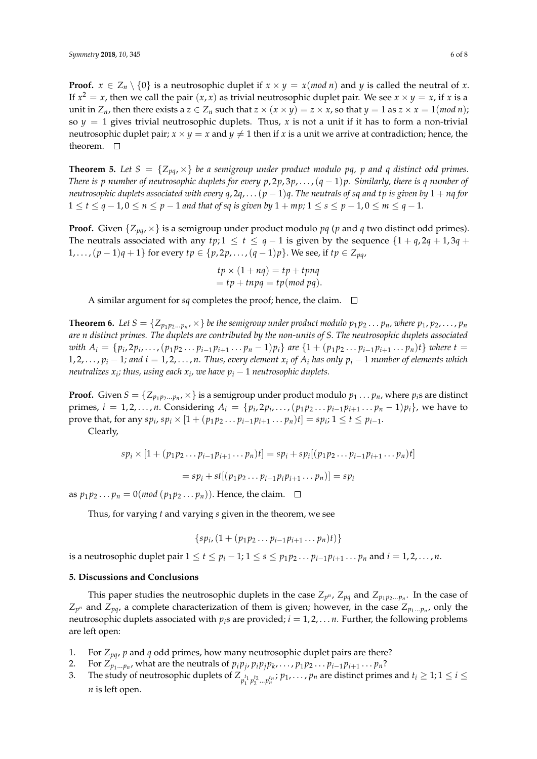**Proof.**  $x \in Z_n \setminus \{0\}$  is a neutrosophic duplet if  $x \times y = x \pmod{n}$  and *y* is called the neutral of *x*. If  $x^2 = x$ , then we call the pair  $(x, x)$  as trivial neutrosophic duplet pair. We see  $x \times y = x$ , if  $x$  is a unit in  $Z_n$ , then there exists a  $z \in Z_n$  such that  $z \times (x \times y) = z \times x$ , so that  $y = 1$  as  $z \times x = 1 \pmod{n}$ ; so  $y = 1$  gives trivial neutrosophic duplets. Thus, x is not a unit if it has to form a non-trivial neutrosophic duplet pair;  $x \times y = x$  and  $y \neq 1$  then if *x* is a unit we arrive at contradiction; hence, the theorem.  $\square$ 

**Theorem 5.** Let  $S = \{Z_{pq}, \times\}$  be a semigroup under product modulo pq, p and q distinct odd primes. *There is p number of neutrosophic duplets for every p*, 2*p*, 3*p*, . . . ,(*q* − 1)*p. Similarly, there is q number of neutrosophic duplets associated with every*  $q$ ,  $2q$ , . . .  $(p-1)q$ . The neutrals of sq and tp is given by  $1 + nq$  for 1 ≤ *t* ≤ *q* − 1, 0 ≤ *n* ≤ *p* − 1 *and that of sq is given by* 1 + *mp*; 1 ≤ *s* ≤ *p* − 1, 0 ≤ *m* ≤ *q* − 1.

**Proof.** Given  $\{Z_{pq}, \times\}$  is a semigroup under product modulo  $pq$  ( $p$  and  $q$  two distinct odd primes). The neutrals associated with any *tp*;  $1 \le t \le q - 1$  is given by the sequence  $\{1 + q, 2q + 1, 3q + 1\}$ 1, . . . ,  $(p-1)q + 1$ } for every  $tp \in \{p, 2p, ..., (q-1)p\}$ . We see, if  $tp \in Z_{pq}$ ,

> $tp \times (1 + nq) = tp + tpnq$  $= tp + trapq = tp(mod pq).$

A similar argument for  $sq$  completes the proof; hence, the claim.  $\Box$ 

**Theorem 6.** Let  $S = \{Z_{p_1p_2...p_n}, \times\}$  be the semigroup under product modulo  $p_1p_2 \dots p_n$ , where  $p_1, p_2, \dots, p_n$ *are n distinct primes. The duplets are contributed by the non-units of S. The neutrosophic duplets associated* with  $A_i = \{p_i, 2p_i, \ldots, (p_1p_2 \ldots p_{i-1}p_{i+1} \ldots p_n-1)p_i\}$  are  $\{1 + (p_1p_2 \ldots p_{i-1}p_{i+1} \ldots p_n)t\}$  where  $t =$ 1, 2, . . . ,  $p_i - 1$ ; and  $i = 1, 2, ..., n$ . Thus, every element  $x_i$  of  $A_i$  has only  $p_i - 1$  number of elements which *neutralizes x<sup>i</sup> ; thus, using each x<sup>i</sup> , we have p<sup>i</sup>* − 1 *neutrosophic duplets.*

**Proof.** Given  $S = \{Z_{p_1p_2...p_n}$ ,  $\times\}$  is a semigroup under product modulo  $p_1...p_n$ , where  $p_i$ s are distinct primes,  $i = 1, 2, ..., n$ . Considering  $A_i = \{p_i, 2p_i, ..., (p_1p_2...p_{i-1}p_{i+1}...p_n-1)p_i\}$ , we have to prove that, for any  $sp_i$ ,  $sp_i \times [1 + (p_1p_2 \ldots p_{i-1}p_{i+1} \ldots p_n)t] = sp_i$ ;  $1 \le t \le p_{i-1}$ .

Clearly,

$$
sp_i \times [1 + (p_1p_2 \ldots p_{i-1}p_{i+1} \ldots p_n)t] = sp_i + sp_i[(p_1p_2 \ldots p_{i-1}p_{i+1} \ldots p_n)t]
$$

 $= sp_i + st[(p_1 p_2 ... p_{i-1} p_i p_{i+1} ... p_n)] = sp_i$ 

as  $p_1 p_2 \ldots p_n = 0 \pmod{(p_1 p_2 \ldots p_n)}$ . Hence, the claim.  $\Box$ 

Thus, for varying *t* and varying *s* given in the theorem, we see

$$
\{sp_{i}, (1+(p_1p_2...p_{i-1}p_{i+1}...p_n)t)\}\
$$

is a neutrosophic duplet pair  $1 \leq t \leq p_i-1$ ;  $1 \leq s \leq p_1p_2\ldots p_{i-1}p_{i+1}\ldots p_n$  and  $i = 1, 2, \ldots, n$ .

#### <span id="page-5-0"></span>**5. Discussions and Conclusions**

This paper studies the neutrosophic duplets in the case  $Z_{p^n}$ ,  $Z_{pq}$  and  $Z_{p_1p_2...p_n}$ . In the case of  $Z_{p^n}$  and  $Z_{pq}$ , a complete characterization of them is given; however, in the case  $Z_{p_1...p_n}$ , only the neutrosophic duplets associated with  $p_i$ <sup>s</sup> are provided;  $i = 1, 2, \ldots n$ . Further, the following problems are left open:

- 1. For  $Z_{pq}$ ,  $p$  and  $q$  odd primes, how many neutrosophic duplet pairs are there?
- 2. For  $Z_{p_1...p_n}$ , what are the neutrals of  $p_ip_j, p_ip_jp_k, \ldots, p_1p_2 \ldots p_{i-1}p_{i+1} \ldots p_n$ ?
- 3. The study of neutrosophic duplets of  $Z_{p_1^{t_1}p_2^{t_2}\dots p_n^{t_n}}$ ;  $p_1, \dots, p_n$  are distinct primes and  $t_i \geq 1; 1 \leq i \leq n$ *n* is left open.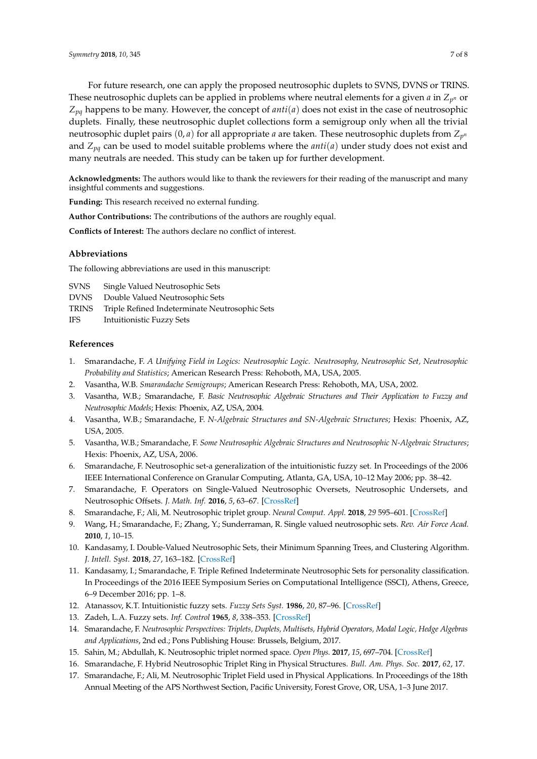For future research, one can apply the proposed neutrosophic duplets to SVNS, DVNS or TRINS. These neutrosophic duplets can be applied in problems where neutral elements for a given  $a$  in  $Z_{p^n}$  or *Zpq* happens to be many. However, the concept of *anti*(*a*) does not exist in the case of neutrosophic duplets. Finally, these neutrosophic duplet collections form a semigroup only when all the trivial neutrosophic duplet pairs (0, *a*) for all appropriate *a* are taken. These neutrosophic duplets from *Z<sup>p</sup> n* and *Zpq* can be used to model suitable problems where the *anti*(*a*) under study does not exist and many neutrals are needed. This study can be taken up for further development.

**Acknowledgments:** The authors would like to thank the reviewers for their reading of the manuscript and many insightful comments and suggestions.

**Funding:** This research received no external funding.

**Author Contributions:** The contributions of the authors are roughly equal.

**Conflicts of Interest:** The authors declare no conflict of interest.

### **Abbreviations**

The following abbreviations are used in this manuscript:

SVNS Single Valued Neutrosophic Sets

- DVNS Double Valued Neutrosophic Sets
- TRINS Triple Refined Indeterminate Neutrosophic Sets
- IFS Intuitionistic Fuzzy Sets

#### **References**

- <span id="page-6-0"></span>1. Smarandache, F. *A Unifying Field in Logics: Neutrosophic Logic. Neutrosophy, Neutrosophic Set, Neutrosophic Probability and Statistics*; American Research Press: Rehoboth, MA, USA, 2005.
- 2. Vasantha, W.B. *Smarandache Semigroups*; American Research Press: Rehoboth, MA, USA, 2002.
- 3. Vasantha, W.B.; Smarandache, F. *Basic Neutrosophic Algebraic Structures and Their Application to Fuzzy and Neutrosophic Models*; Hexis: Phoenix, AZ, USA, 2004.
- 4. Vasantha, W.B.; Smarandache, F. *N-Algebraic Structures and SN-Algebraic Structures*; Hexis: Phoenix, AZ, USA, 2005.
- 5. Vasantha, W.B.; Smarandache, F. *Some Neutrosophic Algebraic Structures and Neutrosophic N-Algebraic Structures*; Hexis: Phoenix, AZ, USA, 2006.
- 6. Smarandache, F. Neutrosophic set-a generalization of the intuitionistic fuzzy set. In Proceedings of the 2006 IEEE International Conference on Granular Computing, Atlanta, GA, USA, 10–12 May 2006; pp. 38–42.
- 7. Smarandache, F. Operators on Single-Valued Neutrosophic Oversets, Neutrosophic Undersets, and Neutrosophic Offsets. *J. Math. Inf.* **2016**, *5*, 63–67. [\[CrossRef\]](http://dx.doi.org/10.5958/2320-3226.2016.00007.2)
- <span id="page-6-1"></span>8. Smarandache, F.; Ali, M. Neutrosophic triplet group. *Neural Comput. Appl.* **2018**, *29* 595–601. [\[CrossRef\]](http://dx.doi.org/10.1007/s00521-016-2535-x)
- <span id="page-6-2"></span>9. Wang, H.; Smarandache, F.; Zhang, Y.; Sunderraman, R. Single valued neutrosophic sets. *Rev. Air Force Acad.* **2010**, *1*, 10–15.
- <span id="page-6-3"></span>10. Kandasamy, I. Double-Valued Neutrosophic Sets, their Minimum Spanning Trees, and Clustering Algorithm. *J. Intell. Syst.* **2018**, *27*, 163–182. [\[CrossRef\]](http://dx.doi.org/10.1515/jisys-2016-0088)
- <span id="page-6-4"></span>11. Kandasamy, I.; Smarandache, F. Triple Refined Indeterminate Neutrosophic Sets for personality classification. In Proceedings of the 2016 IEEE Symposium Series on Computational Intelligence (SSCI), Athens, Greece, 6–9 December 2016; pp. 1–8.
- <span id="page-6-5"></span>12. Atanassov, K.T. Intuitionistic fuzzy sets. *Fuzzy Sets Syst.* **1986**, *20*, 87–96. [\[CrossRef\]](http://dx.doi.org/10.1016/S0165-0114(86)80034-3)
- <span id="page-6-6"></span>13. Zadeh, L.A. Fuzzy sets. *Inf. Control* **1965**, *8*, 338–353. [\[CrossRef\]](http://dx.doi.org/10.1016/S0019-9958(65)90241-X)
- <span id="page-6-7"></span>14. Smarandache, F. *Neutrosophic Perspectives: Triplets, Duplets, Multisets, Hybrid Operators, Modal Logic, Hedge Algebras and Applications*, 2nd ed.; Pons Publishing House: Brussels, Belgium, 2017.
- <span id="page-6-8"></span>15. Sahin, M.; Abdullah, K. Neutrosophic triplet normed space. *Open Phys.* **2017**, *15*, 697–704. [\[CrossRef\]](http://dx.doi.org/10.1515/phys-2017-0082)
- 16. Smarandache, F. Hybrid Neutrosophic Triplet Ring in Physical Structures. *Bull. Am. Phys. Soc.* **2017**, *62*, 17.
- 17. Smarandache, F.; Ali, M. Neutrosophic Triplet Field used in Physical Applications. In Proceedings of the 18th Annual Meeting of the APS Northwest Section, Pacific University, Forest Grove, OR, USA, 1–3 June 2017.